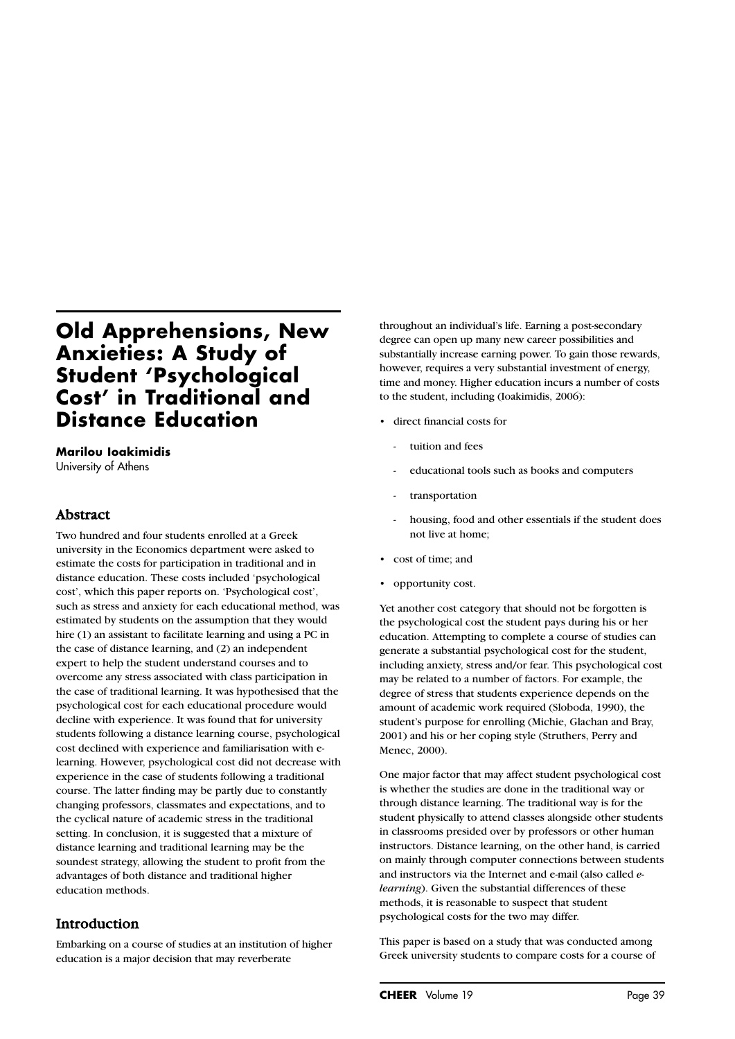# **Old Apprehensions, New Anxieties: A Study of Student 'Psychological Cost' in Traditional and Distance Education**

#### **Marilou Ioakimidis** University of Athens

## Abstract

Two hundred and four students enrolled at a Greek university in the Economics department were asked to estimate the costs for participation in traditional and in distance education. These costs included 'psychological cost', which this paper reports on. 'Psychological cost', such as stress and anxiety for each educational method, was estimated by students on the assumption that they would hire (1) an assistant to facilitate learning and using a PC in the case of distance learning, and (2) an independent expert to help the student understand courses and to overcome any stress associated with class participation in the case of traditional learning. It was hypothesised that the psychological cost for each educational procedure would decline with experience. It was found that for university students following a distance learning course, psychological cost declined with experience and familiarisation with elearning. However, psychological cost did not decrease with experience in the case of students following a traditional course. The latter finding may be partly due to constantly changing professors, classmates and expectations, and to the cyclical nature of academic stress in the traditional setting. In conclusion, it is suggested that a mixture of distance learning and traditional learning may be the soundest strategy, allowing the student to profit from the advantages of both distance and traditional higher education methods.

## Introduction

Embarking on a course of studies at an institution of higher education is a major decision that may reverberate

throughout an individual's life. Earning a post-secondary degree can open up many new career possibilities and substantially increase earning power. To gain those rewards, however, requires a very substantial investment of energy, time and money. Higher education incurs a number of costs to the student, including (Ioakimidis, 2006):

- direct financial costs for
	- tuition and fees
	- educational tools such as books and computers
	- transportation
	- housing, food and other essentials if the student does not live at home;
- cost of time; and
- opportunity cost.

Yet another cost category that should not be forgotten is the psychological cost the student pays during his or her education. Attempting to complete a course of studies can generate a substantial psychological cost for the student, including anxiety, stress and/or fear. This psychological cost may be related to a number of factors. For example, the degree of stress that students experience depends on the amount of academic work required (Sloboda, 1990), the student's purpose for enrolling (Michie, Glachan and Bray, 2001) and his or her coping style (Struthers, Perry and Menec, 2000).

One major factor that may affect student psychological cost is whether the studies are done in the traditional way or through distance learning. The traditional way is for the student physically to attend classes alongside other students in classrooms presided over by professors or other human instructors. Distance learning, on the other hand, is carried on mainly through computer connections between students and instructors via the Internet and e-mail (also called *elearning*). Given the substantial differences of these methods, it is reasonable to suspect that student psychological costs for the two may differ.

This paper is based on a study that was conducted among Greek university students to compare costs for a course of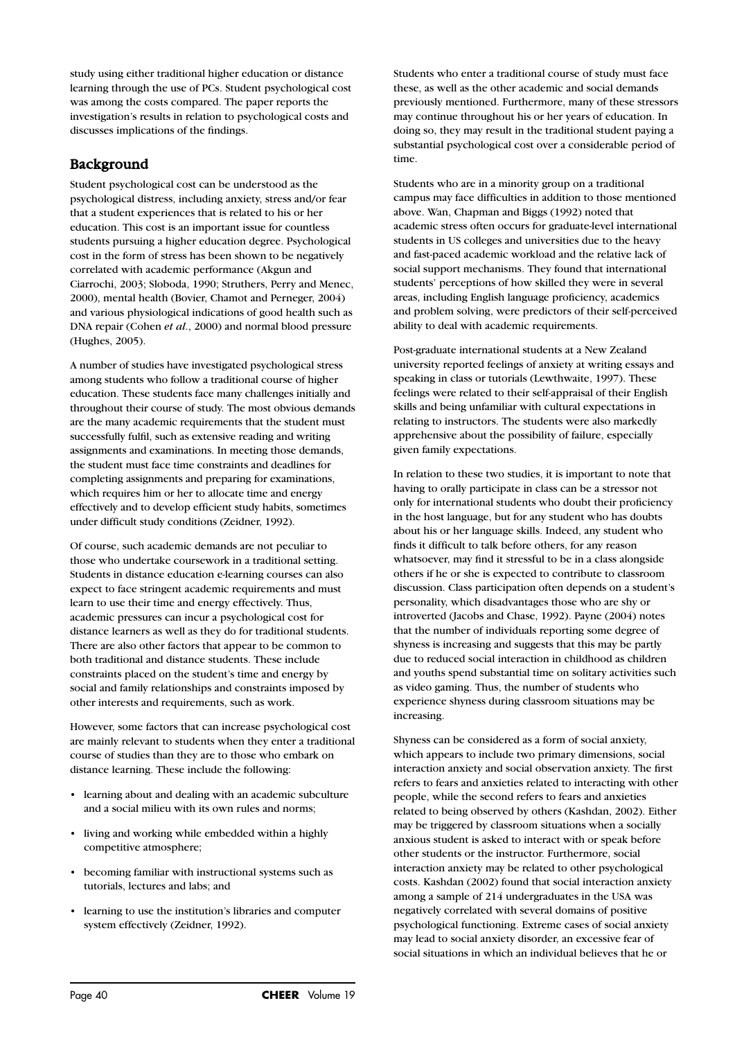study using either traditional higher education or distance learning through the use of PCs. Student psychological cost was among the costs compared. The paper reports the investigation's results in relation to psychological costs and discusses implications of the findings.

## Background

Student psychological cost can be understood as the psychological distress, including anxiety, stress and/or fear that a student experiences that is related to his or her education. This cost is an important issue for countless students pursuing a higher education degree. Psychological cost in the form of stress has been shown to be negatively correlated with academic performance (Akgun and Ciarrochi, 2003; Sloboda, 1990; Struthers, Perry and Menec, 2000), mental health (Bovier, Chamot and Perneger, 2004) and various physiological indications of good health such as DNA repair (Cohen *et al*., 2000) and normal blood pressure (Hughes, 2005).

A number of studies have investigated psychological stress among students who follow a traditional course of higher education. These students face many challenges initially and throughout their course of study. The most obvious demands are the many academic requirements that the student must successfully fulfil, such as extensive reading and writing assignments and examinations. In meeting those demands, the student must face time constraints and deadlines for completing assignments and preparing for examinations, which requires him or her to allocate time and energy effectively and to develop efficient study habits, sometimes under difficult study conditions (Zeidner, 1992).

Of course, such academic demands are not peculiar to those who undertake coursework in a traditional setting. Students in distance education e-learning courses can also expect to face stringent academic requirements and must learn to use their time and energy effectively. Thus, academic pressures can incur a psychological cost for distance learners as well as they do for traditional students. There are also other factors that appear to be common to both traditional and distance students. These include constraints placed on the student's time and energy by social and family relationships and constraints imposed by other interests and requirements, such as work.

However, some factors that can increase psychological cost are mainly relevant to students when they enter a traditional course of studies than they are to those who embark on distance learning. These include the following:

- learning about and dealing with an academic subculture and a social milieu with its own rules and norms;
- living and working while embedded within a highly competitive atmosphere;
- becoming familiar with instructional systems such as tutorials, lectures and labs; and
- learning to use the institution's libraries and computer system effectively (Zeidner, 1992).

Students who enter a traditional course of study must face these, as well as the other academic and social demands previously mentioned. Furthermore, many of these stressors may continue throughout his or her years of education. In doing so, they may result in the traditional student paying a substantial psychological cost over a considerable period of time.

Students who are in a minority group on a traditional campus may face difficulties in addition to those mentioned above. Wan, Chapman and Biggs (1992) noted that academic stress often occurs for graduate-level international students in US colleges and universities due to the heavy and fast-paced academic workload and the relative lack of social support mechanisms. They found that international students' perceptions of how skilled they were in several areas, including English language proficiency, academics and problem solving, were predictors of their self-perceived ability to deal with academic requirements.

Post-graduate international students at a New Zealand university reported feelings of anxiety at writing essays and speaking in class or tutorials (Lewthwaite, 1997). These feelings were related to their self-appraisal of their English skills and being unfamiliar with cultural expectations in relating to instructors. The students were also markedly apprehensive about the possibility of failure, especially given family expectations.

In relation to these two studies, it is important to note that having to orally participate in class can be a stressor not only for international students who doubt their proficiency in the host language, but for any student who has doubts about his or her language skills. Indeed, any student who finds it difficult to talk before others, for any reason whatsoever, may find it stressful to be in a class alongside others if he or she is expected to contribute to classroom discussion. Class participation often depends on a student's personality, which disadvantages those who are shy or introverted (Jacobs and Chase, 1992). Payne (2004) notes that the number of individuals reporting some degree of shyness is increasing and suggests that this may be partly due to reduced social interaction in childhood as children and youths spend substantial time on solitary activities such as video gaming. Thus, the number of students who experience shyness during classroom situations may be increasing.

Shyness can be considered as a form of social anxiety, which appears to include two primary dimensions, social interaction anxiety and social observation anxiety. The first refers to fears and anxieties related to interacting with other people, while the second refers to fears and anxieties related to being observed by others (Kashdan, 2002). Either may be triggered by classroom situations when a socially anxious student is asked to interact with or speak before other students or the instructor. Furthermore, social interaction anxiety may be related to other psychological costs. Kashdan (2002) found that social interaction anxiety among a sample of 214 undergraduates in the USA was negatively correlated with several domains of positive psychological functioning. Extreme cases of social anxiety may lead to social anxiety disorder, an excessive fear of social situations in which an individual believes that he or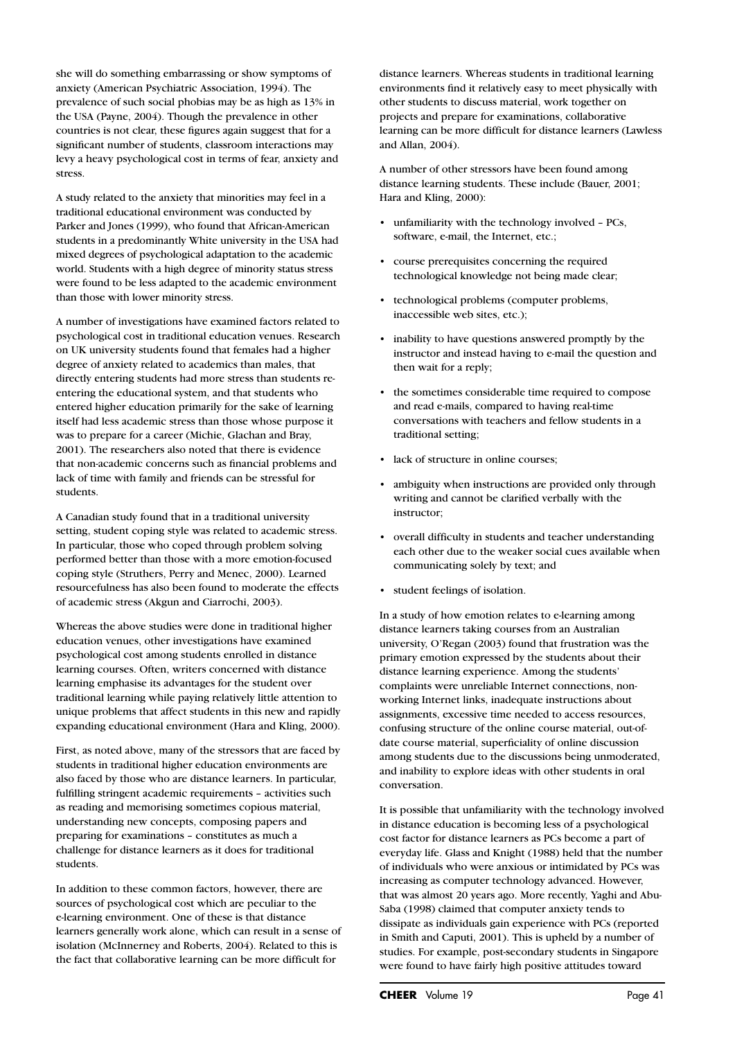she will do something embarrassing or show symptoms of anxiety (American Psychiatric Association, 1994). The prevalence of such social phobias may be as high as 13% in the USA (Payne, 2004). Though the prevalence in other countries is not clear, these figures again suggest that for a significant number of students, classroom interactions may levy a heavy psychological cost in terms of fear, anxiety and stress.

A study related to the anxiety that minorities may feel in a traditional educational environment was conducted by Parker and Jones (1999), who found that African-American students in a predominantly White university in the USA had mixed degrees of psychological adaptation to the academic world. Students with a high degree of minority status stress were found to be less adapted to the academic environment than those with lower minority stress.

A number of investigations have examined factors related to psychological cost in traditional education venues. Research on UK university students found that females had a higher degree of anxiety related to academics than males, that directly entering students had more stress than students reentering the educational system, and that students who entered higher education primarily for the sake of learning itself had less academic stress than those whose purpose it was to prepare for a career (Michie, Glachan and Bray, 2001). The researchers also noted that there is evidence that non-academic concerns such as financial problems and lack of time with family and friends can be stressful for students.

A Canadian study found that in a traditional university setting, student coping style was related to academic stress. In particular, those who coped through problem solving performed better than those with a more emotion-focused coping style (Struthers, Perry and Menec, 2000). Learned resourcefulness has also been found to moderate the effects of academic stress (Akgun and Ciarrochi, 2003).

Whereas the above studies were done in traditional higher education venues, other investigations have examined psychological cost among students enrolled in distance learning courses. Often, writers concerned with distance learning emphasise its advantages for the student over traditional learning while paying relatively little attention to unique problems that affect students in this new and rapidly expanding educational environment (Hara and Kling, 2000).

First, as noted above, many of the stressors that are faced by students in traditional higher education environments are also faced by those who are distance learners. In particular, fulfilling stringent academic requirements – activities such as reading and memorising sometimes copious material, understanding new concepts, composing papers and preparing for examinations – constitutes as much a challenge for distance learners as it does for traditional students.

In addition to these common factors, however, there are sources of psychological cost which are peculiar to the e-learning environment. One of these is that distance learners generally work alone, which can result in a sense of isolation (McInnerney and Roberts, 2004). Related to this is the fact that collaborative learning can be more difficult for

distance learners. Whereas students in traditional learning environments find it relatively easy to meet physically with other students to discuss material, work together on projects and prepare for examinations, collaborative learning can be more difficult for distance learners (Lawless and Allan, 2004).

A number of other stressors have been found among distance learning students. These include (Bauer, 2001; Hara and Kling, 2000):

- unfamiliarity with the technology involved PCs, software, e-mail, the Internet, etc.;
- course prerequisites concerning the required technological knowledge not being made clear;
- technological problems (computer problems, inaccessible web sites, etc.);
- inability to have questions answered promptly by the instructor and instead having to e-mail the question and then wait for a reply;
- the sometimes considerable time required to compose and read e-mails, compared to having real-time conversations with teachers and fellow students in a traditional setting;
- lack of structure in online courses;
- ambiguity when instructions are provided only through writing and cannot be clarified verbally with the instructor;
- overall difficulty in students and teacher understanding each other due to the weaker social cues available when communicating solely by text; and
- student feelings of isolation.

In a study of how emotion relates to e-learning among distance learners taking courses from an Australian university, O'Regan (2003) found that frustration was the primary emotion expressed by the students about their distance learning experience. Among the students' complaints were unreliable Internet connections, nonworking Internet links, inadequate instructions about assignments, excessive time needed to access resources, confusing structure of the online course material, out-ofdate course material, superficiality of online discussion among students due to the discussions being unmoderated, and inability to explore ideas with other students in oral conversation.

It is possible that unfamiliarity with the technology involved in distance education is becoming less of a psychological cost factor for distance learners as PCs become a part of everyday life. Glass and Knight (1988) held that the number of individuals who were anxious or intimidated by PCs was increasing as computer technology advanced. However, that was almost 20 years ago. More recently, Yaghi and Abu-Saba (1998) claimed that computer anxiety tends to dissipate as individuals gain experience with PCs (reported in Smith and Caputi, 2001). This is upheld by a number of studies. For example, post-secondary students in Singapore were found to have fairly high positive attitudes toward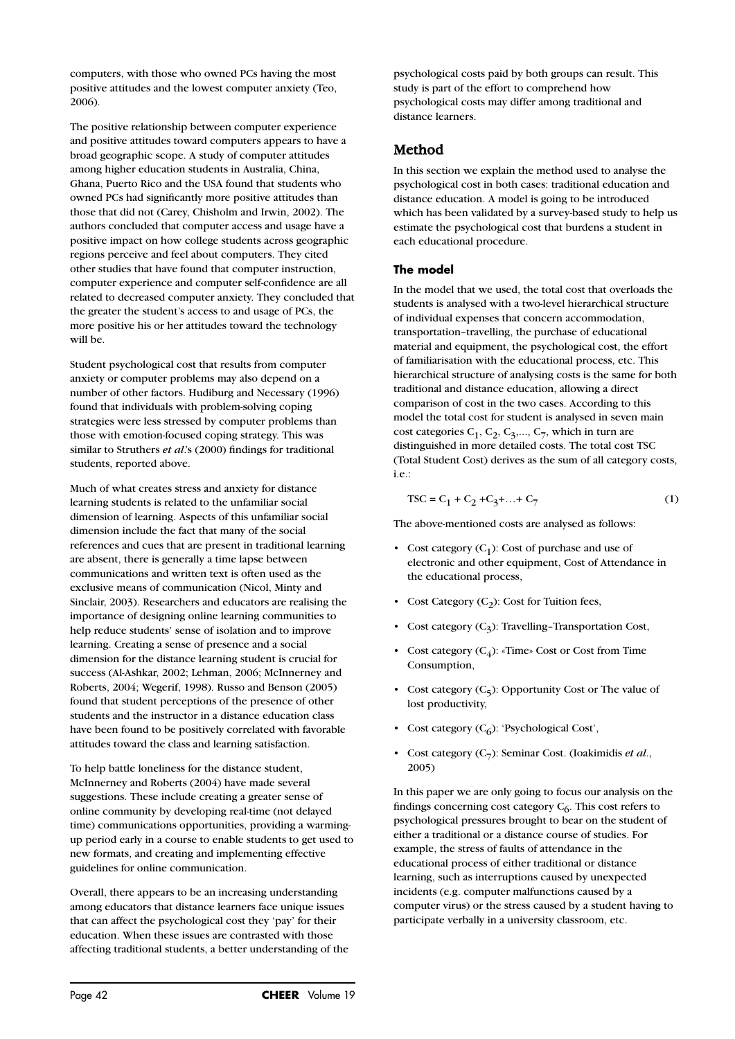computers, with those who owned PCs having the most positive attitudes and the lowest computer anxiety (Teo, 2006).

The positive relationship between computer experience and positive attitudes toward computers appears to have a broad geographic scope. A study of computer attitudes among higher education students in Australia, China, Ghana, Puerto Rico and the USA found that students who owned PCs had significantly more positive attitudes than those that did not (Carey, Chisholm and Irwin, 2002). The authors concluded that computer access and usage have a positive impact on how college students across geographic regions perceive and feel about computers. They cited other studies that have found that computer instruction, computer experience and computer self-confidence are all related to decreased computer anxiety. They concluded that the greater the student's access to and usage of PCs, the more positive his or her attitudes toward the technology will be.

Student psychological cost that results from computer anxiety or computer problems may also depend on a number of other factors. Hudiburg and Necessary (1996) found that individuals with problem-solving coping strategies were less stressed by computer problems than those with emotion-focused coping strategy. This was similar to Struthers *et al*.'s (2000) findings for traditional students, reported above.

Much of what creates stress and anxiety for distance learning students is related to the unfamiliar social dimension of learning. Aspects of this unfamiliar social dimension include the fact that many of the social references and cues that are present in traditional learning are absent, there is generally a time lapse between communications and written text is often used as the exclusive means of communication (Nicol, Minty and Sinclair, 2003). Researchers and educators are realising the importance of designing online learning communities to help reduce students' sense of isolation and to improve learning. Creating a sense of presence and a social dimension for the distance learning student is crucial for success (Al-Ashkar, 2002; Lehman, 2006; McInnerney and Roberts, 2004; Wegerif, 1998). Russo and Benson (2005) found that student perceptions of the presence of other students and the instructor in a distance education class have been found to be positively correlated with favorable attitudes toward the class and learning satisfaction.

To help battle loneliness for the distance student, McInnerney and Roberts (2004) have made several suggestions. These include creating a greater sense of online community by developing real-time (not delayed time) communications opportunities, providing a warmingup period early in a course to enable students to get used to new formats, and creating and implementing effective guidelines for online communication.

Overall, there appears to be an increasing understanding among educators that distance learners face unique issues that can affect the psychological cost they 'pay' for their education. When these issues are contrasted with those affecting traditional students, a better understanding of the psychological costs paid by both groups can result. This study is part of the effort to comprehend how psychological costs may differ among traditional and distance learners.

## Method

In this section we explain the method used to analyse the psychological cost in both cases: traditional education and distance education. A model is going to be introduced which has been validated by a survey-based study to help us estimate the psychological cost that burdens a student in each educational procedure.

#### **The model**

In the model that we used, the total cost that overloads the students is analysed with a two-level hierarchical structure of individual expenses that concern accommodation, transportation–travelling, the purchase of educational material and equipment, the psychological cost, the effort of familiarisation with the educational process, etc. This hierarchical structure of analysing costs is the same for both traditional and distance education, allowing a direct comparison of cost in the two cases. According to this model the total cost for student is analysed in seven main cost categories  $C_1, C_2, C_3, \ldots, C_7$ , which in turn are distinguished in more detailed costs. The total cost TSC (Total Student Cost) derives as the sum of all category costs, i.e.:

$$
TSC = C_1 + C_2 + C_3 + ... + C_7
$$
 (1)

The above-mentioned costs are analysed as follows:

- Cost category  $(C_1)$ : Cost of purchase and use of electronic and other equipment, Cost of Attendance in the educational process,
- Cost Category  $(C_2)$ : Cost for Tuition fees,
- Cost category  $(C_2)$ : Travelling-Transportation Cost,
- Cost category  $(C_4)$ : «Time» Cost or Cost from Time Consumption,
- Cost category  $(C_5)$ : Opportunity Cost or The value of lost productivity,
- Cost category  $(C_6)$ : 'Psychological Cost',
- Cost category (C7): Seminar Cost. (Ioakimidis *et al*., 2005)

In this paper we are only going to focus our analysis on the findings concerning cost category  $C_6$ . This cost refers to psychological pressures brought to bear on the student of either a traditional or a distance course of studies. For example, the stress of faults of attendance in the educational process of either traditional or distance learning, such as interruptions caused by unexpected incidents (e.g. computer malfunctions caused by a computer virus) or the stress caused by a student having to participate verbally in a university classroom, etc.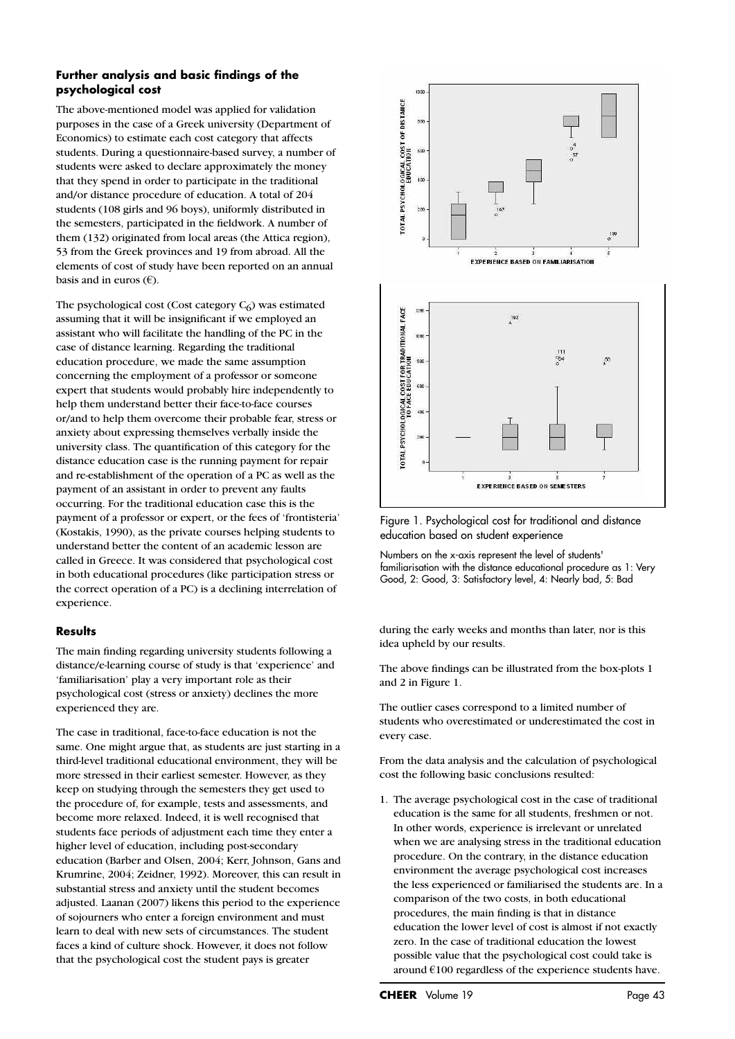#### **Further analysis and basic findings of the psychological cost**

The above-mentioned model was applied for validation purposes in the case of a Greek university (Department of Economics) to estimate each cost category that affects students. During a questionnaire-based survey, a number of students were asked to declare approximately the money that they spend in order to participate in the traditional and/or distance procedure of education. A total of 204 students (108 girls and 96 boys), uniformly distributed in the semesters, participated in the fieldwork. A number of them (132) originated from local areas (the Attica region), 53 from the Greek provinces and 19 from abroad. All the elements of cost of study have been reported on an annual basis and in euros  $(\epsilon)$ .

The psychological cost (Cost category  $C_6$ ) was estimated assuming that it will be insignificant if we employed an assistant who will facilitate the handling of the PC in the case of distance learning. Regarding the traditional education procedure, we made the same assumption concerning the employment of a professor or someone expert that students would probably hire independently to help them understand better their face-to-face courses or/and to help them overcome their probable fear, stress or anxiety about expressing themselves verbally inside the university class. The quantification of this category for the distance education case is the running payment for repair and re-establishment of the operation of a PC as well as the payment of an assistant in order to prevent any faults occurring. For the traditional education case this is the payment of a professor or expert, or the fees of 'frontisteria' (Kostakis, 1990), as the private courses helping students to understand better the content of an academic lesson are called in Greece. It was considered that psychological cost in both educational procedures (like participation stress or the correct operation of a PC) is a declining interrelation of experience.

#### **Results**

The main finding regarding university students following a distance/e-learning course of study is that 'experience' and 'familiarisation' play a very important role as their psychological cost (stress or anxiety) declines the more experienced they are.

The case in traditional, face-to-face education is not the same. One might argue that, as students are just starting in a third-level traditional educational environment, they will be more stressed in their earliest semester. However, as they keep on studying through the semesters they get used to the procedure of, for example, tests and assessments, and become more relaxed. Indeed, it is well recognised that students face periods of adjustment each time they enter a higher level of education, including post-secondary education (Barber and Olsen, 2004; Kerr, Johnson, Gans and Krumrine, 2004; Zeidner, 1992). Moreover, this can result in substantial stress and anxiety until the student becomes adjusted. Laanan (2007) likens this period to the experience of sojourners who enter a foreign environment and must learn to deal with new sets of circumstances. The student faces a kind of culture shock. However, it does not follow that the psychological cost the student pays is greater



Figure 1. Psychological cost for traditional and distance education based on student experience

Numbers on the x-axis represent the level of students' familiarisation with the distance educational procedure as 1: Very Good, 2: Good, 3: Satisfactory level, 4: Nearly bad, 5: Bad

during the early weeks and months than later, nor is this idea upheld by our results.

The above findings can be illustrated from the box-plots 1 and 2 in Figure 1.

The outlier cases correspond to a limited number of students who overestimated or underestimated the cost in every case.

From the data analysis and the calculation of psychological cost the following basic conclusions resulted:

1. The average psychological cost in the case of traditional education is the same for all students, freshmen or not. In other words, experience is irrelevant or unrelated when we are analysing stress in the traditional education procedure. On the contrary, in the distance education environment the average psychological cost increases the less experienced or familiarised the students are. In a comparison of the two costs, in both educational procedures, the main finding is that in distance education the lower level of cost is almost if not exactly zero. In the case of traditional education the lowest possible value that the psychological cost could take is around  $€100$  regardless of the experience students have.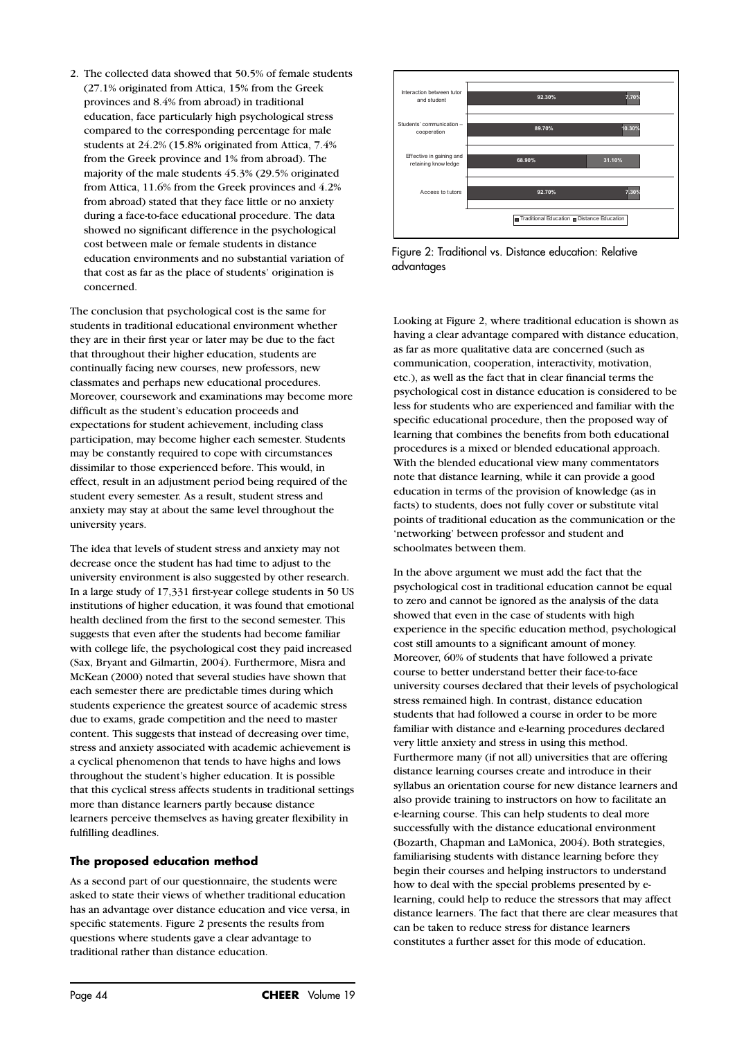2. The collected data showed that 50.5% of female students (27.1% originated from Attica, 15% from the Greek provinces and 8.4% from abroad) in traditional education, face particularly high psychological stress compared to the corresponding percentage for male students at 24.2% (15.8% originated from Attica, 7.4% from the Greek province and 1% from abroad). The majority of the male students 45.3% (29.5% originated from Attica, 11.6% from the Greek provinces and 4.2% from abroad) stated that they face little or no anxiety during a face-to-face educational procedure. The data showed no significant difference in the psychological cost between male or female students in distance education environments and no substantial variation of that cost as far as the place of students' origination is concerned.

The conclusion that psychological cost is the same for students in traditional educational environment whether they are in their first year or later may be due to the fact that throughout their higher education, students are continually facing new courses, new professors, new classmates and perhaps new educational procedures. Moreover, coursework and examinations may become more difficult as the student's education proceeds and expectations for student achievement, including class participation, may become higher each semester. Students may be constantly required to cope with circumstances dissimilar to those experienced before. This would, in effect, result in an adjustment period being required of the student every semester. As a result, student stress and anxiety may stay at about the same level throughout the university years.

The idea that levels of student stress and anxiety may not decrease once the student has had time to adjust to the university environment is also suggested by other research. In a large study of 17,331 first-year college students in 50 US institutions of higher education, it was found that emotional health declined from the first to the second semester. This suggests that even after the students had become familiar with college life, the psychological cost they paid increased (Sax, Bryant and Gilmartin, 2004). Furthermore, Misra and McKean (2000) noted that several studies have shown that each semester there are predictable times during which students experience the greatest source of academic stress due to exams, grade competition and the need to master content. This suggests that instead of decreasing over time, stress and anxiety associated with academic achievement is a cyclical phenomenon that tends to have highs and lows throughout the student's higher education. It is possible that this cyclical stress affects students in traditional settings more than distance learners partly because distance learners perceive themselves as having greater flexibility in fulfilling deadlines.

#### **The proposed education method**

As a second part of our questionnaire, the students were asked to state their views of whether traditional education has an advantage over distance education and vice versa, in specific statements. Figure 2 presents the results from questions where students gave a clear advantage to traditional rather than distance education.



Figure 2: Traditional vs. Distance education: Relative advantages

Looking at Figure 2, where traditional education is shown as having a clear advantage compared with distance education, as far as more qualitative data are concerned (such as communication, cooperation, interactivity, motivation, etc.), as well as the fact that in clear financial terms the psychological cost in distance education is considered to be less for students who are experienced and familiar with the specific educational procedure, then the proposed way of learning that combines the benefits from both educational procedures is a mixed or blended educational approach. With the blended educational view many commentators note that distance learning, while it can provide a good education in terms of the provision of knowledge (as in facts) to students, does not fully cover or substitute vital points of traditional education as the communication or the 'networking' between professor and student and schoolmates between them.

In the above argument we must add the fact that the psychological cost in traditional education cannot be equal to zero and cannot be ignored as the analysis of the data showed that even in the case of students with high experience in the specific education method, psychological cost still amounts to a significant amount of money. Moreover, 60% of students that have followed a private course to better understand better their face-to-face university courses declared that their levels of psychological stress remained high. In contrast, distance education students that had followed a course in order to be more familiar with distance and e-learning procedures declared very little anxiety and stress in using this method. Furthermore many (if not all) universities that are offering distance learning courses create and introduce in their syllabus an orientation course for new distance learners and also provide training to instructors on how to facilitate an e-learning course. This can help students to deal more successfully with the distance educational environment (Bozarth, Chapman and LaMonica, 2004). Both strategies, familiarising students with distance learning before they begin their courses and helping instructors to understand how to deal with the special problems presented by elearning, could help to reduce the stressors that may affect distance learners. The fact that there are clear measures that can be taken to reduce stress for distance learners constitutes a further asset for this mode of education.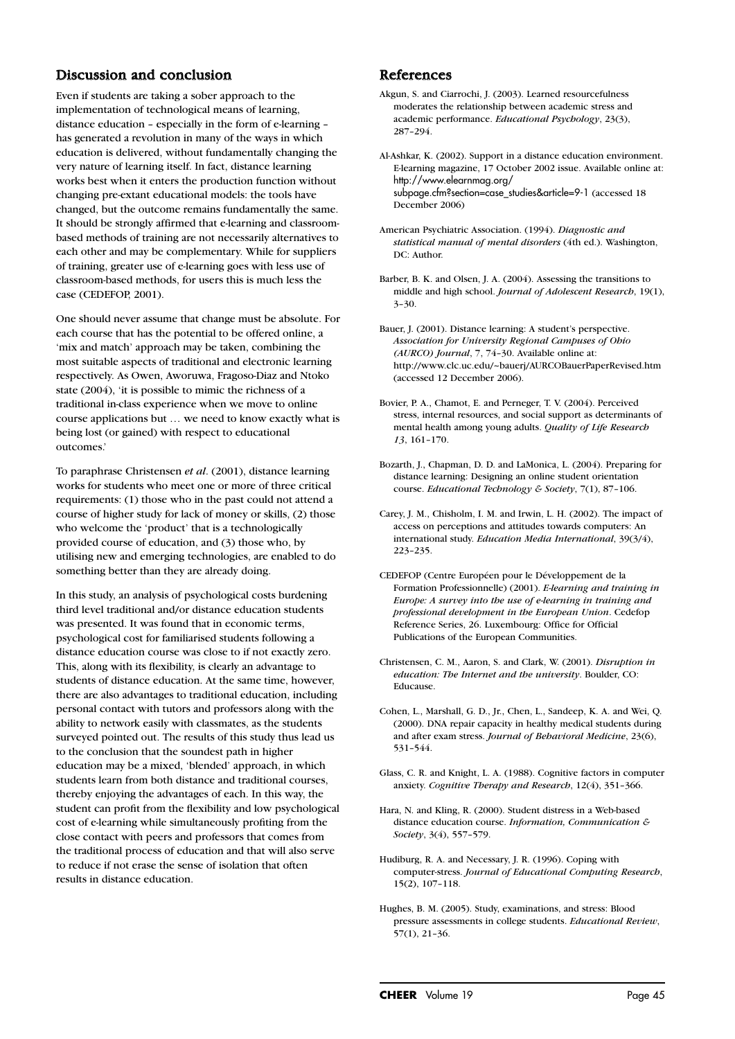## Discussion and conclusion

Even if students are taking a sober approach to the implementation of technological means of learning, distance education – especially in the form of e-learning – has generated a revolution in many of the ways in which education is delivered, without fundamentally changing the very nature of learning itself. In fact, distance learning works best when it enters the production function without changing pre-extant educational models: the tools have changed, but the outcome remains fundamentally the same. It should be strongly affirmed that e-learning and classroombased methods of training are not necessarily alternatives to each other and may be complementary. While for suppliers of training, greater use of e-learning goes with less use of classroom-based methods, for users this is much less the case (CEDEFOP, 2001).

One should never assume that change must be absolute. For each course that has the potential to be offered online, a 'mix and match' approach may be taken, combining the most suitable aspects of traditional and electronic learning respectively. As Owen, Aworuwa, Fragoso-Diaz and Ntoko state (2004), 'it is possible to mimic the richness of a traditional in-class experience when we move to online course applications but … we need to know exactly what is being lost (or gained) with respect to educational outcomes.'

To paraphrase Christensen *et al*. (2001), distance learning works for students who meet one or more of three critical requirements: (1) those who in the past could not attend a course of higher study for lack of money or skills, (2) those who welcome the 'product' that is a technologically provided course of education, and (3) those who, by utilising new and emerging technologies, are enabled to do something better than they are already doing.

In this study, an analysis of psychological costs burdening third level traditional and/or distance education students was presented. It was found that in economic terms, psychological cost for familiarised students following a distance education course was close to if not exactly zero. This, along with its flexibility, is clearly an advantage to students of distance education. At the same time, however, there are also advantages to traditional education, including personal contact with tutors and professors along with the ability to network easily with classmates, as the students surveyed pointed out. The results of this study thus lead us to the conclusion that the soundest path in higher education may be a mixed, 'blended' approach, in which students learn from both distance and traditional courses, thereby enjoying the advantages of each. In this way, the student can profit from the flexibility and low psychological cost of e-learning while simultaneously profiting from the close contact with peers and professors that comes from the traditional process of education and that will also serve to reduce if not erase the sense of isolation that often results in distance education.

### References

Akgun, S. and Ciarrochi, J. (2003). Learned resourcefulness moderates the relationship between academic stress and academic performance. *Educational Psychology*, 23(3), 287–294.

Al-Ashkar, K. (2002). Support in a distance education environment. E-learning magazine, 17 October 2002 issue. Available online at: http://www.elearnmag.org/ subpage.cfm?section=case\_studies&article=9-1 (accessed 18 December 2006)

- American Psychiatric Association. (1994). *Diagnostic and statistical manual of mental disorders* (4th ed.). Washington, DC: Author.
- Barber, B. K. and Olsen, J. A. (2004). Assessing the transitions to middle and high school. *Journal of Adolescent Research*, 19(1), 3–30.

Bauer, J. (2001). Distance learning: A student's perspective. *Association for University Regional Campuses of Ohio (AURCO) Journal*, 7, 74–30. Available online at: http://www.clc.uc.edu/~bauerj/AURCOBauerPaperRevised.htm (accessed 12 December 2006).

- Bovier, P. A., Chamot, E. and Perneger, T. V. (2004). Perceived stress, internal resources, and social support as determinants of mental health among young adults. *Quality of Life Research 13*, 161–170.
- Bozarth, J., Chapman, D. D. and LaMonica, L. (2004). Preparing for distance learning: Designing an online student orientation course. *Educational Technology & Society*, 7(1), 87–106.
- Carey, J. M., Chisholm, I. M. and Irwin, L. H. (2002). The impact of access on perceptions and attitudes towards computers: An international study. *Education Media International*, 39(3/4), 223–235.
- CEDEFOP (Centre Européen pour le Développement de la Formation Professionnelle) (2001). *E-learning and training in Europe: A survey into the use of e-learning in training and professional development in the European Union*. Cedefop Reference Series, 26. Luxembourg: Office for Official Publications of the European Communities.
- Christensen, C. M., Aaron, S. and Clark, W. (2001). *Disruption in education: The Internet and the university*. Boulder, CO: Educause.
- Cohen, L., Marshall, G. D., Jr., Chen, L., Sandeep, K. A. and Wei, Q. (2000). DNA repair capacity in healthy medical students during and after exam stress. *Journal of Behavioral Medicine*, 23(6), 531–544.

Glass, C. R. and Knight, L. A. (1988). Cognitive factors in computer anxiety. *Cognitive Therapy and Research*, 12(4), 351–366.

- Hara, N. and Kling, R. (2000). Student distress in a Web-based distance education course. *Information, Communication & Society*, 3(4), 557–579.
- Hudiburg, R. A. and Necessary, J. R. (1996). Coping with computer-stress. *Journal of Educational Computing Research*, 15(2), 107–118.
- Hughes, B. M. (2005). Study, examinations, and stress: Blood pressure assessments in college students. *Educational Review*, 57(1), 21–36.